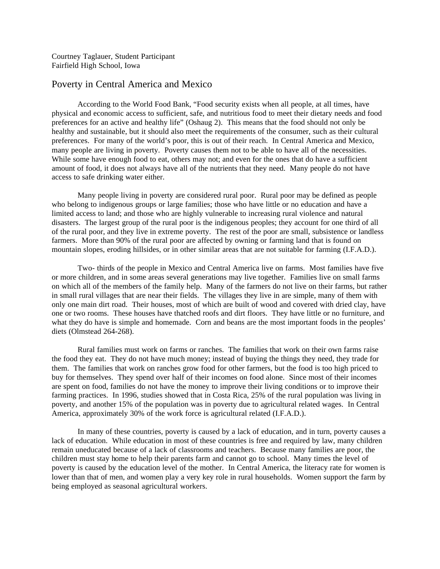Courtney Taglauer, Student Participant Fairfield High School, Iowa

## Poverty in Central America and Mexico

According to the World Food Bank, "Food security exists when all people, at all times, have physical and economic access to sufficient, safe, and nutritious food to meet their dietary needs and food preferences for an active and healthy life" (Oshaug 2). This means that the food should not only be healthy and sustainable, but it should also meet the requirements of the consumer, such as their cultural preferences. For many of the world's poor, this is out of their reach. In Central America and Mexico, many people are living in poverty. Poverty causes them not to be able to have all of the necessities. While some have enough food to eat, others may not; and even for the ones that do have a sufficient amount of food, it does not always have all of the nutrients that they need. Many people do not have access to safe drinking water either.

Many people living in poverty are considered rural poor. Rural poor may be defined as people who belong to indigenous groups or large families; those who have little or no education and have a limited access to land; and those who are highly vulnerable to increasing rural violence and natural disasters. The largest group of the rural poor is the indigenous peoples; they account for one third of all of the rural poor, and they live in extreme poverty. The rest of the poor are small, subsistence or landless farmers. More than 90% of the rural poor are affected by owning or farming land that is found on mountain slopes, eroding hillsides, or in other similar areas that are not suitable for farming (I.F.A.D.).

Two- thirds of the people in Mexico and Central America live on farms. Most families have five or more children, and in some areas several generations may live together. Families live on small farms on which all of the members of the family help. Many of the farmers do not live on their farms, but rather in small rural villages that are near their fields. The villages they live in are simple, many of them with only one main dirt road. Their houses, most of which are built of wood and covered with dried clay, have one or two rooms. These houses have thatched roofs and dirt floors. They have little or no furniture, and what they do have is simple and homemade. Corn and beans are the most important foods in the peoples' diets (Olmstead 264-268).

Rural families must work on farms or ranches. The families that work on their own farms raise the food they eat. They do not have much money; instead of buying the things they need, they trade for them. The families that work on ranches grow food for other farmers, but the food is too high priced to buy for themselves. They spend over half of their incomes on food alone. Since most of their incomes are spent on food, families do not have the money to improve their living conditions or to improve their farming practices. In 1996, studies showed that in Costa Rica, 25% of the rural population was living in poverty, and another 15% of the population was in poverty due to agricultural related wages. In Central America, approximately 30% of the work force is agricultural related (I.F.A.D.).

In many of these countries, poverty is caused by a lack of education, and in turn, poverty causes a lack of education. While education in most of these countries is free and required by law, many children remain uneducated because of a lack of classrooms and teachers. Because many families are poor, the children must stay home to help their parents farm and cannot go to school. Many times the level of poverty is caused by the education level of the mother. In Central America, the literacy rate for women is lower than that of men, and women play a very key role in rural households. Women support the farm by being employed as seasonal agricultural workers.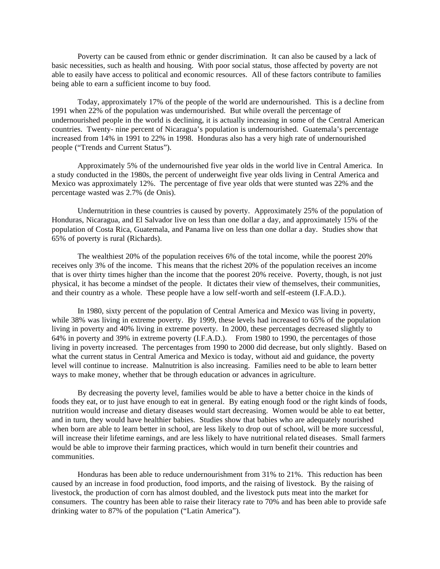Poverty can be caused from ethnic or gender discrimination. It can also be caused by a lack of basic necessities, such as health and housing. With poor social status, those affected by poverty are not able to easily have access to political and economic resources. All of these factors contribute to families being able to earn a sufficient income to buy food.

Today, approximately 17% of the people of the world are undernourished. This is a decline from 1991 when 22% of the population was undernourished. But while overall the percentage of undernourished people in the world is declining, it is actually increasing in some of the Central American countries. Twenty- nine percent of Nicaragua's population is undernourished. Guatemala's percentage increased from 14% in 1991 to 22% in 1998. Honduras also has a very high rate of undernourished people ("Trends and Current Status").

Approximately 5% of the undernourished five year olds in the world live in Central America. In a study conducted in the 1980s, the percent of underweight five year olds living in Central America and Mexico was approximately 12%. The percentage of five year olds that were stunted was 22% and the percentage wasted was 2.7% (de Onis).

Undernutrition in these countries is caused by poverty. Approximately 25% of the population of Honduras, Nicaragua, and El Salvador live on less than one dollar a day, and approximately 15% of the population of Costa Rica, Guatemala, and Panama live on less than one dollar a day. Studies show that 65% of poverty is rural (Richards).

The wealthiest 20% of the population receives 6% of the total income, while the poorest 20% receives only 3% of the income. This means that the richest 20% of the population receives an income that is over thirty times higher than the income that the poorest 20% receive. Poverty, though, is not just physical, it has become a mindset of the people. It dictates their view of themselves, their communities, and their country as a whole. These people have a low self-worth and self-esteem (I.F.A.D.).

In 1980, sixty percent of the population of Central America and Mexico was living in poverty, while 38% was living in extreme poverty. By 1999, these levels had increased to 65% of the population living in poverty and 40% living in extreme poverty. In 2000, these percentages decreased slightly to 64% in poverty and 39% in extreme poverty (I.F.A.D.). From 1980 to 1990, the percentages of those living in poverty increased. The percentages from 1990 to 2000 did decrease, but only slightly. Based on what the current status in Central America and Mexico is today, without aid and guidance, the poverty level will continue to increase. Malnutrition is also increasing. Families need to be able to learn better ways to make money, whether that be through education or advances in agriculture.

By decreasing the poverty level, families would be able to have a better choice in the kinds of foods they eat, or to just have enough to eat in general. By eating enough food or the right kinds of foods, nutrition would increase and dietary diseases would start decreasing. Women would be able to eat better, and in turn, they would have healthier babies. Studies show that babies who are adequately nourished when born are able to learn better in school, are less likely to drop out of school, will be more successful, will increase their lifetime earnings, and are less likely to have nutritional related diseases. Small farmers would be able to improve their farming practices, which would in turn benefit their countries and communities.

Honduras has been able to reduce undernourishment from 31% to 21%. This reduction has been caused by an increase in food production, food imports, and the raising of livestock. By the raising of livestock, the production of corn has almost doubled, and the livestock puts meat into the market for consumers. The country has been able to raise their literacy rate to 70% and has been able to provide safe drinking water to 87% of the population ("Latin America").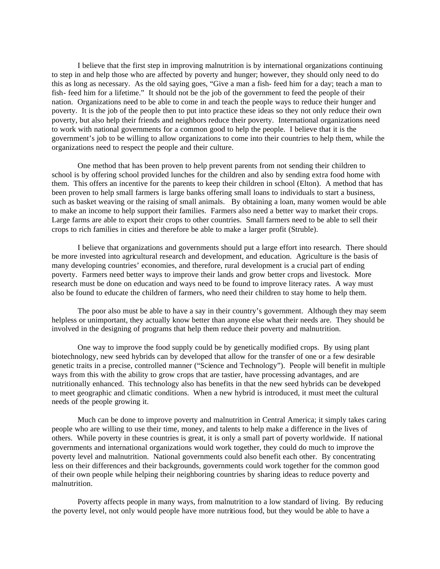I believe that the first step in improving malnutrition is by international organizations continuing to step in and help those who are affected by poverty and hunger; however, they should only need to do this as long as necessary. As the old saying goes, "Give a man a fish- feed him for a day; teach a man to fish- feed him for a lifetime." It should not be the job of the government to feed the people of their nation. Organizations need to be able to come in and teach the people ways to reduce their hunger and poverty. It is the job of the people then to put into practice these ideas so they not only reduce their own poverty, but also help their friends and neighbors reduce their poverty. International organizations need to work with national governments for a common good to help the people. I believe that it is the government's job to be willing to allow organizations to come into their countries to help them, while the organizations need to respect the people and their culture.

One method that has been proven to help prevent parents from not sending their children to school is by offering school provided lunches for the children and also by sending extra food home with them. This offers an incentive for the parents to keep their children in school (Elton). A method that has been proven to help small farmers is large banks offering small loans to individuals to start a business, such as basket weaving or the raising of small animals. By obtaining a loan, many women would be able to make an income to help support their families. Farmers also need a better way to market their crops. Large farms are able to export their crops to other countries. Small farmers need to be able to sell their crops to rich families in cities and therefore be able to make a larger profit (Struble).

I believe that organizations and governments should put a large effort into research. There should be more invested into agricultural research and development, and education. Agriculture is the basis of many developing countries' economies, and therefore, rural development is a crucial part of ending poverty. Farmers need better ways to improve their lands and grow better crops and livestock. More research must be done on education and ways need to be found to improve literacy rates. A way must also be found to educate the children of farmers, who need their children to stay home to help them.

The poor also must be able to have a say in their country's government. Although they may seem helpless or unimportant, they actually know better than anyone else what their needs are. They should be involved in the designing of programs that help them reduce their poverty and malnutrition.

One way to improve the food supply could be by genetically modified crops. By using plant biotechnology, new seed hybrids can by developed that allow for the transfer of one or a few desirable genetic traits in a precise, controlled manner ("Science and Technology"). People will benefit in multiple ways from this with the ability to grow crops that are tastier, have processing advantages, and are nutritionally enhanced. This technology also has benefits in that the new seed hybrids can be developed to meet geographic and climatic conditions. When a new hybrid is introduced, it must meet the cultural needs of the people growing it.

Much can be done to improve poverty and malnutrition in Central America; it simply takes caring people who are willing to use their time, money, and talents to help make a difference in the lives of others. While poverty in these countries is great, it is only a small part of poverty worldwide. If national governments and international organizations would work together, they could do much to improve the poverty level and malnutrition. National governments could also benefit each other. By concentrating less on their differences and their backgrounds, governments could work together for the common good of their own people while helping their neighboring countries by sharing ideas to reduce poverty and malnutrition.

Poverty affects people in many ways, from malnutrition to a low standard of living. By reducing the poverty level, not only would people have more nutritious food, but they would be able to have a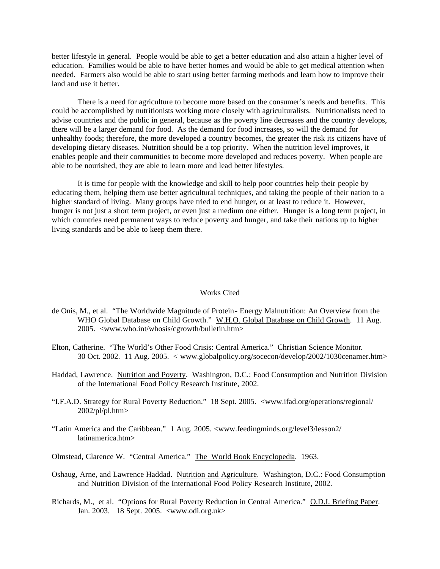better lifestyle in general. People would be able to get a better education and also attain a higher level of education. Families would be able to have better homes and would be able to get medical attention when needed. Farmers also would be able to start using better farming methods and learn how to improve their land and use it better.

There is a need for agriculture to become more based on the consumer's needs and benefits. This could be accomplished by nutritionists working more closely with agriculturalists. Nutritionalists need to advise countries and the public in general, because as the poverty line decreases and the country develops, there will be a larger demand for food. As the demand for food increases, so will the demand for unhealthy foods; therefore, the more developed a country becomes, the greater the risk its citizens have of developing dietary diseases. Nutrition should be a top priority. When the nutrition level improves, it enables people and their communities to become more developed and reduces poverty. When people are able to be nourished, they are able to learn more and lead better lifestyles.

It is time for people with the knowledge and skill to help poor countries help their people by educating them, helping them use better agricultural techniques, and taking the people of their nation to a higher standard of living. Many groups have tried to end hunger, or at least to reduce it. However, hunger is not just a short term project, or even just a medium one either. Hunger is a long term project, in which countries need permanent ways to reduce poverty and hunger, and take their nations up to higher living standards and be able to keep them there.

## Works Cited

- de Onis, M., et al. "The Worldwide Magnitude of Protein- Energy Malnutrition: An Overview from the WHO Global Database on Child Growth." W.H.O. Global Database on Child Growth. 11 Aug. 2005. <www.who.int/whosis/cgrowth/bulletin.htm>
- Elton, Catherine. "The World's Other Food Crisis: Central America." Christian Science Monitor. 30 Oct. 2002. 11 Aug. 2005. < www.globalpolicy.org/socecon/develop/2002/1030cenamer.htm>
- Haddad, Lawrence. Nutrition and Poverty. Washington, D.C.: Food Consumption and Nutrition Division of the International Food Policy Research Institute, 2002.
- "I.F.A.D. Strategy for Rural Poverty Reduction." 18 Sept. 2005. <www.ifad.org/operations/regional/ 2002/pl/pl.htm>
- "Latin America and the Caribbean." 1 Aug. 2005. <www.feedingminds.org/level3/lesson2/ latinamerica.htm>
- Olmstead, Clarence W. "Central America." The World Book Encyclopedia. 1963.
- Oshaug, Arne, and Lawrence Haddad. Nutrition and Agriculture. Washington, D.C.: Food Consumption and Nutrition Division of the International Food Policy Research Institute, 2002.
- Richards, M., et al. "Options for Rural Poverty Reduction in Central America." O.D.I. Briefing Paper. Jan. 2003. 18 Sept. 2005. <www.odi.org.uk>